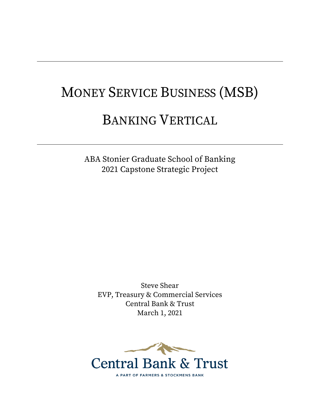# MONEY SERVICE BUSINESS (MSB)

# BANKING VERTICAL

ABA Stonier Graduate School of Banking 2021 Capstone Strategic Project

Steve Shear EVP, Treasury & Commercial Services Central Bank & Trust March 1, 2021

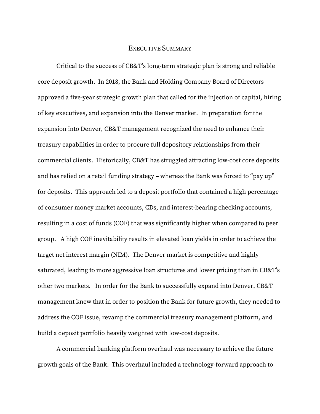# EXECUTIVE SUMMARY

Critical to the success of CB&T's long-term strategic plan is strong and reliable core deposit growth. In 2018, the Bank and Holding Company Board of Directors approved a five-year strategic growth plan that called for the injection of capital, hiring of key executives, and expansion into the Denver market. In preparation for the expansion into Denver, CB&T management recognized the need to enhance their treasury capabilities in order to procure full depository relationships from their commercial clients. Historically, CB&T has struggled attracting low-cost core deposits and has relied on a retail funding strategy – whereas the Bank was forced to "pay up" for deposits. This approach led to a deposit portfolio that contained a high percentage of consumer money market accounts, CDs, and interest-bearing checking accounts, resulting in a cost of funds (COF) that was significantly higher when compared to peer group. A high COF inevitability results in elevated loan yields in order to achieve the target net interest margin (NIM). The Denver market is competitive and highly saturated, leading to more aggressive loan structures and lower pricing than in CB&T's other two markets. In order for the Bank to successfully expand into Denver, CB&T management knew that in order to position the Bank for future growth, they needed to address the COF issue, revamp the commercial treasury management platform, and build a deposit portfolio heavily weighted with low-cost deposits.

A commercial banking platform overhaul was necessary to achieve the future growth goals of the Bank. This overhaul included a technology-forward approach to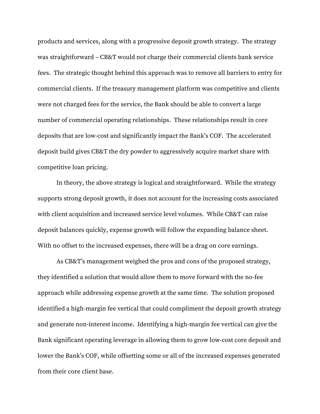products and services, along with a progressive deposit growth strategy. The strategy was straightforward – CB&T would not charge their commercial clients bank service fees. The strategic thought behind this approach was to remove all barriers to entry for commercial clients. If the treasury management platform was competitive and clients were not charged fees for the service, the Bank should be able to convert a large number of commercial operating relationships. These relationships result in core deposits that are low-cost and significantly impact the Bank's COF. The accelerated deposit build gives CB&T the dry powder to aggressively acquire market share with competitive loan pricing.

In theory, the above strategy is logical and straightforward. While the strategy supports strong deposit growth, it does not account for the increasing costs associated with client acquisition and increased service level volumes. While CB&T can raise deposit balances quickly, expense growth will follow the expanding balance sheet. With no offset to the increased expenses, there will be a drag on core earnings.

As CB&T's management weighed the pros and cons of the proposed strategy, they identified a solution that would allow them to move forward with the no-fee approach while addressing expense growth at the same time. The solution proposed identified a high-margin fee vertical that could compliment the deposit growth strategy and generate non-interest income. Identifying a high-margin fee vertical can give the Bank significant operating leverage in allowing them to grow low-cost core deposit and lower the Bank's COF, while offsetting some or all of the increased expenses generated from their core client base.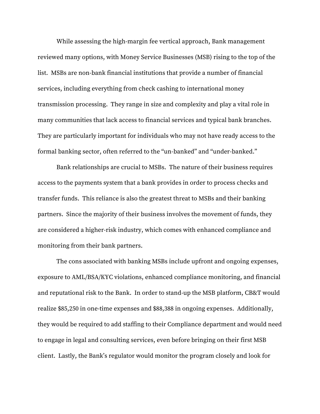While assessing the high-margin fee vertical approach, Bank management reviewed many options, with Money Service Businesses (MSB) rising to the top of the list. MSBs are non-bank financial institutions that provide a number of financial services, including everything from check cashing to international money transmission processing. They range in size and complexity and play a vital role in many communities that lack access to financial services and typical bank branches. They are particularly important for individuals who may not have ready access to the formal banking sector, often referred to the "un-banked" and "under-banked."

Bank relationships are crucial to MSBs. The nature of their business requires access to the payments system that a bank provides in order to process checks and transfer funds. This reliance is also the greatest threat to MSBs and their banking partners. Since the majority of their business involves the movement of funds, they are considered a higher-risk industry, which comes with enhanced compliance and monitoring from their bank partners.

The cons associated with banking MSBs include upfront and ongoing expenses, exposure to AML/BSA/KYC violations, enhanced compliance monitoring, and financial and reputational risk to the Bank. In order to stand-up the MSB platform, CB&T would realize \$85,250 in one-time expenses and \$88,388 in ongoing expenses. Additionally, they would be required to add staffing to their Compliance department and would need to engage in legal and consulting services, even before bringing on their first MSB client. Lastly, the Bank's regulator would monitor the program closely and look for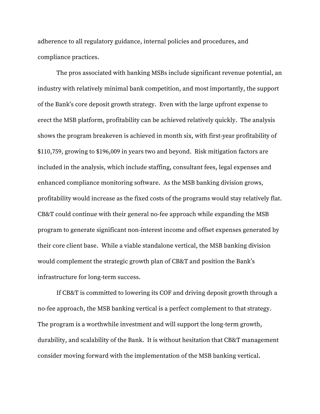adherence to all regulatory guidance, internal policies and procedures, and compliance practices.

The pros associated with banking MSBs include significant revenue potential, an industry with relatively minimal bank competition, and most importantly, the support of the Bank's core deposit growth strategy. Even with the large upfront expense to erect the MSB platform, profitability can be achieved relatively quickly. The analysis shows the program breakeven is achieved in month six, with first-year profitability of \$110,759, growing to \$196,009 in years two and beyond. Risk mitigation factors are included in the analysis, which include staffing, consultant fees, legal expenses and enhanced compliance monitoring software. As the MSB banking division grows, profitability would increase as the fixed costs of the programs would stay relatively flat. CB&T could continue with their general no-fee approach while expanding the MSB program to generate significant non-interest income and offset expenses generated by their core client base. While a viable standalone vertical, the MSB banking division would complement the strategic growth plan of CB&T and position the Bank's infrastructure for long-term success.

If CB&T is committed to lowering its COF and driving deposit growth through a no-fee approach, the MSB banking vertical is a perfect complement to that strategy. The program is a worthwhile investment and will support the long-term growth, durability, and scalability of the Bank. It is without hesitation that CB&T management consider moving forward with the implementation of the MSB banking vertical.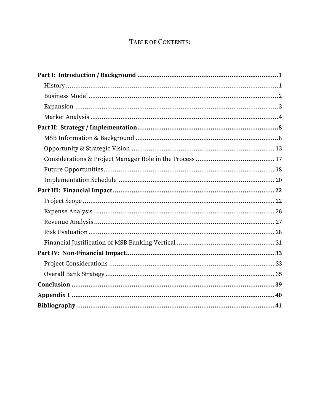# TABLE OF CONTENTS:

<span id="page-5-0"></span>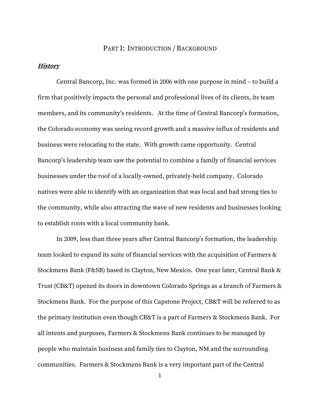# PART I: INTRODUCTION / BACKGROUND

#### <span id="page-6-0"></span>**History**

Central Bancorp, Inc. was formed in 2006 with one purpose in mind – to build a firm that positively impacts the personal and professional lives of its clients, its team members, and its community's residents. At the time of Central Bancorp's formation, the Colorado economy was seeing record growth and a massive influx of residents and business were relocating to the state. With growth came opportunity. Central Bancorp's leadership team saw the potential to combine a family of financial services businesses under the roof of a locally-owned, privately-held company. Colorado natives were able to identify with an organization that was local and had strong ties to the community, while also attracting the wave of new residents and businesses looking to establish roots with a local community bank.

In 2009, less than three years after Central Bancorp's formation, the leadership team looked to expand its suite of financial services with the acquisition of Farmers & Stockmens Bank (F&SB) based in Clayton, New Mexico. One year later, Central Bank & Trust (CB&T) opened its doors in downtown Colorado Springs as a branch of Farmers & Stockmens Bank. For the purpose of this Capstone Project, CB&T will be referred to as the primary institution even though CB&T is a part of Farmers & Stockmens Bank. For all intents and purposes, Farmers & Stockmens Bank continues to be managed by people who maintain business and family ties to Clayton, NM and the surrounding communities. Farmers & Stockmens Bank is a very important part of the Central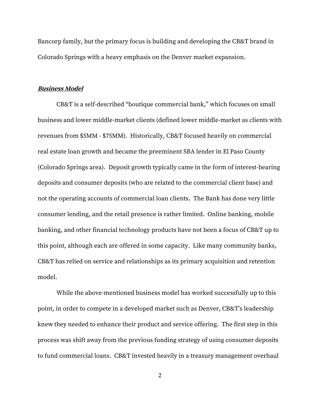Bancorp family, but the primary focus is building and developing the CB&T brand in Colorado Springs with a heavy emphasis on the Denver market expansion.

#### <span id="page-7-0"></span>**Business Model**

CB&T is a self-described "boutique commercial bank," which focuses on small business and lower middle-market clients (defined lower middle-market as clients with revenues from \$5MM - \$75MM). Historically, CB&T focused heavily on commercial real estate loan growth and became the preeminent SBA lender in El Paso County (Colorado Springs area). Deposit growth typically came in the form of interest-bearing deposits and consumer deposits (who are related to the commercial client base) and not the operating accounts of commercial loan clients. The Bank has done very little consumer lending, and the retail presence is rather limited. Online banking, mobile banking, and other financial technology products have not been a focus of CB&T up to this point, although each are offered in some capacity. Like many community banks, CB&T has relied on service and relationships as its primary acquisition and retention model.

While the above-mentioned business model has worked successfully up to this point, in order to compete in a developed market such as Denver, CB&T's leadership knew they needed to enhance their product and service offering. The first step in this process was shift away from the previous funding strategy of using consumer deposits to fund commercial loans. CB&T invested heavily in a treasury management overhaul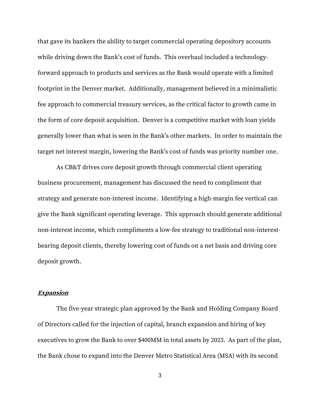that gave its bankers the ability to target commercial operating depository accounts while driving down the Bank's cost of funds. This overhaul included a technologyforward approach to products and services as the Bank would operate with a limited footprint in the Denver market. Additionally, management believed in a minimalistic fee approach to commercial treasury services, as the critical factor to growth came in the form of core deposit acquisition. Denver is a competitive market with loan yields generally lower than what is seen in the Bank's other markets. In order to maintain the target net interest margin, lowering the Bank's cost of funds was priority number one.

As CB&T drives core deposit growth through commercial client operating business procurement, management has discussed the need to compliment that strategy and generate non-interest income. Identifying a high-margin fee vertical can give the Bank significant operating leverage. This approach should generate additional non-interest income, which compliments a low-fee strategy to traditional non-interestbearing deposit clients, thereby lowering cost of funds on a net basis and driving core deposit growth.

#### <span id="page-8-0"></span>**Expansion**

The five-year strategic plan approved by the Bank and Holding Company Board of Directors called for the injection of capital, branch expansion and hiring of key executives to grow the Bank to over \$400MM in total assets by 2023. As part of the plan, the Bank chose to expand into the Denver Metro Statistical Area (MSA) with its second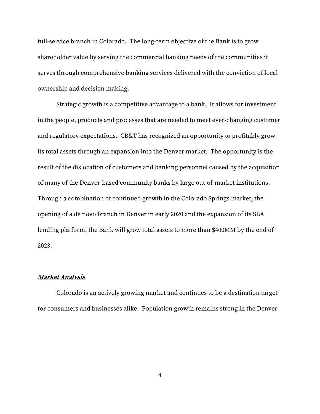full-service branch in Colorado. The long-term objective of the Bank is to grow shareholder value by serving the commercial banking needs of the communities it serves through comprehensive banking services delivered with the conviction of local ownership and decision making.

Strategic growth is a competitive advantage to a bank. It allows for investment in the people, products and processes that are needed to meet ever-changing customer and regulatory expectations. CB&T has recognized an opportunity to profitably grow its total assets through an expansion into the Denver market. The opportunity is the result of the dislocation of customers and banking personnel caused by the acquisition of many of the Denver-based community banks by large out-of-market institutions. Through a combination of continued growth in the Colorado Springs market, the opening of a de novo branch in Denver in early 2020 and the expansion of its SBA lending platform, the Bank will grow total assets to more than \$400MM by the end of 2023.

## <span id="page-9-0"></span>**Market Analysis**

Colorado is an actively growing market and continues to be a destination target for consumers and businesses alike. Population growth remains strong in the Denver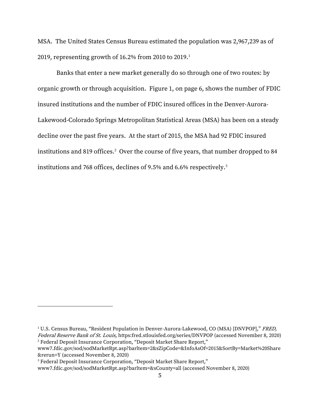MSA. The United States Census Bureau estimated the population was 2,967,239 as of 2019, representing growth of 16.2% from 2010 to 2019.<sup>1</sup>

Banks that enter a new market generally do so through one of two routes: by organic growth or through acquisition. Figure 1, on page 6, shows the number of FDIC insured institutions and the number of FDIC insured offices in the Denver-Aurora-Lakewood-Colorado Springs Metropolitan Statistical Areas (MSA) has been on a steady decline over the past five years. At the start of 2015, the MSA had 92 FDIC insured institutions and 819 offices.<sup>2</sup> Over the course of five years, that number dropped to 84 institutions and 768 offices, declines of 9.5% and 6.6% respectively.<sup>3</sup>

<sup>&</sup>lt;sup>1</sup> U.S. Census Bureau, "Resident Population in Denver-Aurora-Lakewood, CO (MSA) [DNVPOP]," FRED, Federal Reserve Bank of St. Louis, https:fred.stlouisfed.org/series/DNVPOP (accessed November 8, 2020)

<sup>&</sup>lt;sup>2</sup> Federal Deposit Insurance Corporation, "Deposit Market Share Report,"

www7.fdic.gov/sod/sodMarketRpt.asp?barltem=2&sZipCode=&InfoAsOf=2015&SortBy=Market%20Share &rerun=Y (accessed November 8, 2020)

<sup>&</sup>lt;sup>3</sup> Federal Deposit Insurance Corporation, "Deposit Market Share Report,"

www7.fdic.gov/sod/sodMarketRpt.asp?barltem=&sCounty=all (accessed November 8, 2020)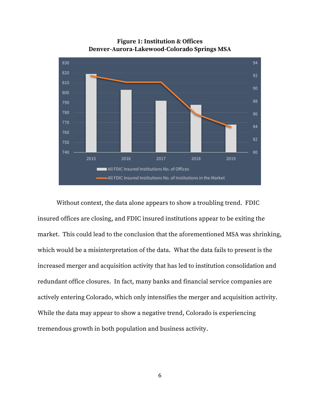

**Figure 1: Institution & Offices Denver-Aurora-Lakewood-Colorado Springs MSA**

Without context, the data alone appears to show a troubling trend. FDIC insured offices are closing, and FDIC insured institutions appear to be exiting the market. This could lead to the conclusion that the aforementioned MSA was shrinking, which would be a misinterpretation of the data. What the data fails to present is the increased merger and acquisition activity that has led to institution consolidation and redundant office closures. In fact, many banks and financial service companies are actively entering Colorado, which only intensifies the merger and acquisition activity. While the data may appear to show a negative trend, Colorado is experiencing tremendous growth in both population and business activity.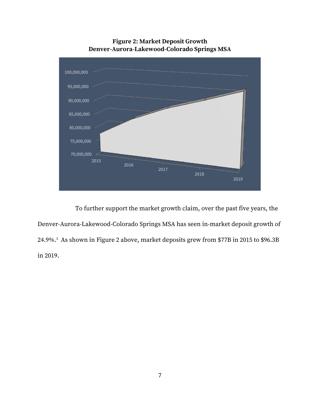

**Figure 2: Market Deposit Growth Denver-Aurora-Lakewood-Colorado Springs MSA**

To further support the market growth claim, over the past five years, the Denver-Aurora-Lakewood-Colorado Springs MSA has seen in-market deposit growth of 24.9%.<sup>3</sup> As shown in Figure 2 above, market deposits grew from \$77B in 2015 to \$96.3B in 2019.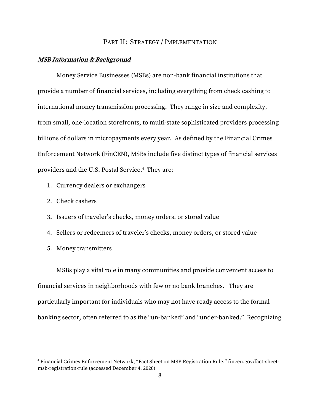#### PART II: STRATEGY / IMPLEMENTATION

#### <span id="page-13-1"></span><span id="page-13-0"></span>**MSB Information & Background**

Money Service Businesses (MSBs) are non-bank financial institutions that provide a number of financial services, including everything from check cashing to international money transmission processing. They range in size and complexity, from small, one-location storefronts, to multi-state sophisticated providers processing billions of dollars in micropayments every year. As defined by the Financial Crimes Enforcement Network (FinCEN), MSBs include five distinct types of financial services providers and the U.S. Postal Service. 4 They are:

- 1. Currency dealers or exchangers
- 2. Check cashers
- 3. Issuers of traveler's checks, money orders, or stored value
- 4. Sellers or redeemers of traveler's checks, money orders, or stored value
- 5. Money transmitters

MSBs play a vital role in many communities and provide convenient access to financial services in neighborhoods with few or no bank branches. They are particularly important for individuals who may not have ready access to the formal banking sector, often referred to as the "un-banked" and "under-banked." Recognizing

<sup>4</sup> Financial Crimes Enforcement Network, "Fact Sheet on MSB Registration Rule," fincen.gov/fact-sheetmsb-registration-rule (accessed December 4, 2020)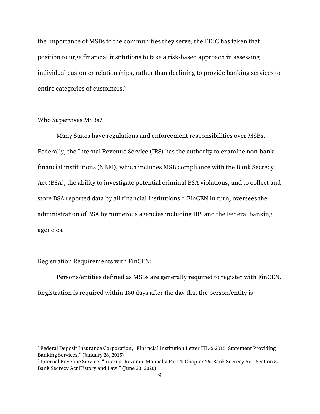the importance of MSBs to the communities they serve, the FDIC has taken that position to urge financial institutions to take a risk-based approach in assessing individual customer relationships, rather than declining to provide banking services to entire categories of customers. 5

#### Who Supervises MSBs?

Many States have regulations and enforcement responsibilities over MSBs. Federally, the Internal Revenue Service (IRS) has the authority to examine non-bank financial institutions (NBFI), which includes MSB compliance with the Bank Secrecy Act (BSA), the ability to investigate potential criminal BSA violations, and to collect and store BSA reported data by all financial institutions.<sup>6</sup> FinCEN in turn, oversees the administration of BSA by numerous agencies including IRS and the Federal banking agencies.

# Registration Requirements with FinCEN:

Persons/entities defined as MSBs are generally required to register with FinCEN. Registration is required within 180 days after the day that the person/entity is

<sup>5</sup> Federal Deposit Insurance Corporation, "Financial Institution Letter FIL-5-2015, Statement Providing Banking Services," (January 28, 2015)

<sup>6</sup> Internal Revenue Service, "Internal Revenue Manuals: Part 4: Chapter 26. Bank Secrecy Act, Section 5. Bank Secrecy Act History and Law," (June 23, 2020)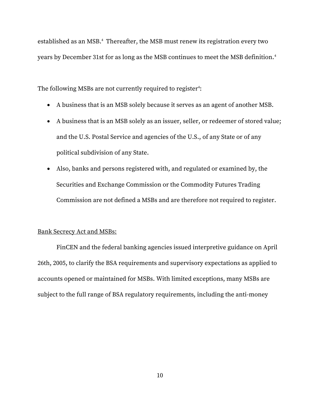established as an MSB.<sup>4</sup> Thereafter, the MSB must renew its registration every two years by December 31st for as long as the MSB continues to meet the MSB definition.<sup>4</sup>

The following MSBs are not currently required to register $\mathord{\cdot}$ :

- A business that is an MSB solely because it serves as an agent of another MSB.
- A business that is an MSB solely as an issuer, seller, or redeemer of stored value; and the U.S. Postal Service and agencies of the U.S., of any State or of any political subdivision of any State.
- Also, banks and persons registered with, and regulated or examined by, the Securities and Exchange Commission or the Commodity Futures Trading Commission are not defined a MSBs and are therefore not required to register.

#### Bank Secrecy Act and MSBs:

FinCEN and the federal banking agencies issued interpretive guidance on April 26th, 2005, to clarify the BSA requirements and supervisory expectations as applied to accounts opened or maintained for MSBs. With limited exceptions, many MSBs are subject to the full range of BSA regulatory requirements, including the anti-money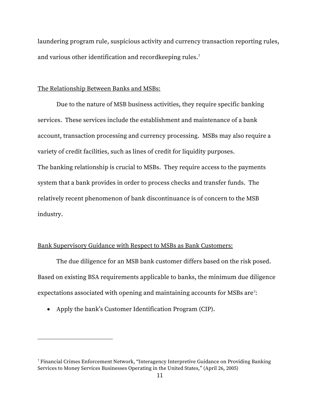laundering program rule, suspicious activity and currency transaction reporting rules, and various other identification and recordkeeping rules.<sup>7</sup>

#### The Relationship Between Banks and MSBs:

Due to the nature of MSB business activities, they require specific banking services. These services include the establishment and maintenance of a bank account, transaction processing and currency processing. MSBs may also require a variety of credit facilities, such as lines of credit for liquidity purposes. The banking relationship is crucial to MSBs. They require access to the payments system that a bank provides in order to process checks and transfer funds. The relatively recent phenomenon of bank discontinuance is of concern to the MSB industry.

## Bank Supervisory Guidance with Respect to MSBs as Bank Customers:

The due diligence for an MSB bank customer differs based on the risk posed. Based on existing BSA requirements applicable to banks, the minimum due diligence expectations associated with opening and maintaining accounts for MSBs are $?$ :

• Apply the bank's Customer Identification Program (CIP).

<sup>7</sup> Financial Crimes Enforcement Network, "Interagency Interpretive Guidance on Providing Banking Services to Money Services Businesses Operating in the United States," (April 26, 2005)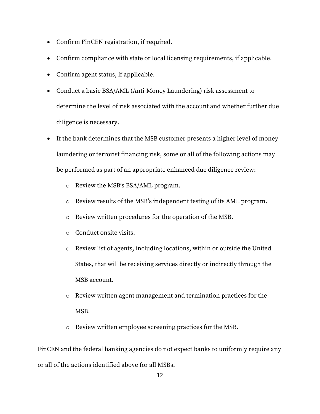- Confirm FinCEN registration, if required.
- Confirm compliance with state or local licensing requirements, if applicable.
- Confirm agent status, if applicable.
- Conduct a basic BSA/AML (Anti-Money Laundering) risk assessment to determine the level of risk associated with the account and whether further due diligence is necessary.
- If the bank determines that the MSB customer presents a higher level of money laundering or terrorist financing risk, some or all of the following actions may be performed as part of an appropriate enhanced due diligence review:
	- o Review the MSB's BSA/AML program.
	- o Review results of the MSB's independent testing of its AML program.
	- o Review written procedures for the operation of the MSB.
	- o Conduct onsite visits.
	- o Review list of agents, including locations, within or outside the United States, that will be receiving services directly or indirectly through the MSB account.
	- o Review written agent management and termination practices for the MSB.
	- o Review written employee screening practices for the MSB.

FinCEN and the federal banking agencies do not expect banks to uniformly require any or all of the actions identified above for all MSBs.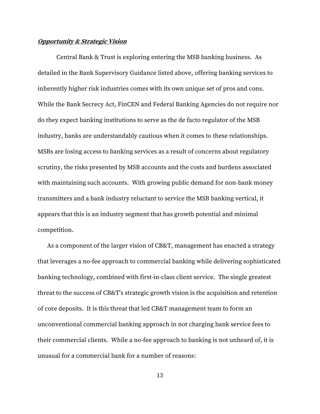#### <span id="page-18-0"></span>**Opportunity & Strategic Vision**

Central Bank & Trust is exploring entering the MSB banking business. As detailed in the Bank Supervisory Guidance listed above, offering banking services to inherently higher risk industries comes with its own unique set of pros and cons. While the Bank Secrecy Act, FinCEN and Federal Banking Agencies do not require nor do they expect banking institutions to serve as the de facto regulator of the MSB industry, banks are understandably cautious when it comes to these relationships. MSBs are losing access to banking services as a result of concerns about regulatory scrutiny, the risks presented by MSB accounts and the costs and burdens associated with maintaining such accounts. With growing public demand for non-bank money transmitters and a bank industry reluctant to service the MSB banking vertical, it appears that this is an industry segment that has growth potential and minimal competition.

As a component of the larger vision of CB&T, management has enacted a strategy that leverages a no-fee approach to commercial banking while delivering sophisticated banking technology, combined with first-in-class client service. The single greatest threat to the success of CB&T's strategic growth vision is the acquisition and retention of core deposits. It is this threat that led CB&T management team to form an unconventional commercial banking approach in not charging bank service fees to their commercial clients. While a no-fee approach to banking is not unheard of, it is unusual for a commercial bank for a number of reasons: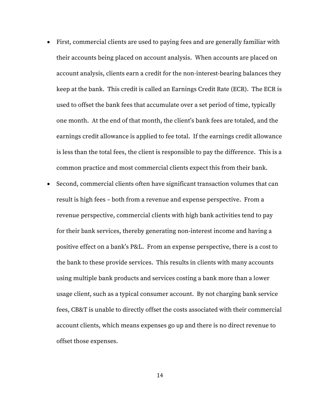- First, commercial clients are used to paying fees and are generally familiar with their accounts being placed on account analysis. When accounts are placed on account analysis, clients earn a credit for the non-interest-bearing balances they keep at the bank. This credit is called an Earnings Credit Rate (ECR). The ECR is used to offset the bank fees that accumulate over a set period of time, typically one month. At the end of that month, the client's bank fees are totaled, and the earnings credit allowance is applied to fee total. If the earnings credit allowance is less than the total fees, the client is responsible to pay the difference. This is a common practice and most commercial clients expect this from their bank.
- Second, commercial clients often have significant transaction volumes that can result is high fees – both from a revenue and expense perspective. From a revenue perspective, commercial clients with high bank activities tend to pay for their bank services, thereby generating non-interest income and having a positive effect on a bank's P&L. From an expense perspective, there is a cost to the bank to these provide services. This results in clients with many accounts using multiple bank products and services costing a bank more than a lower usage client, such as a typical consumer account. By not charging bank service fees, CB&T is unable to directly offset the costs associated with their commercial account clients, which means expenses go up and there is no direct revenue to offset those expenses.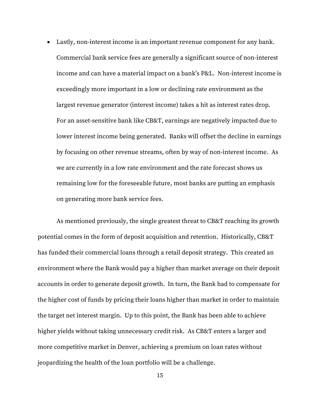• Lastly, non-interest income is an important revenue component for any bank. Commercial bank service fees are generally a significant source of non-interest income and can have a material impact on a bank's P&L. Non-interest income is exceedingly more important in a low or declining rate environment as the largest revenue generator (interest income) takes a hit as interest rates drop. For an asset-sensitive bank like CB&T, earnings are negatively impacted due to lower interest income being generated. Banks will offset the decline in earnings by focusing on other revenue streams, often by way of non-interest income. As we are currently in a low rate environment and the rate forecast shows us remaining low for the foreseeable future, most banks are putting an emphasis on generating more bank service fees.

As mentioned previously, the single greatest threat to CB&T reaching its growth potential comes in the form of deposit acquisition and retention. Historically, CB&T has funded their commercial loans through a retail deposit strategy. This created an environment where the Bank would pay a higher than market average on their deposit accounts in order to generate deposit growth. In turn, the Bank had to compensate for the higher cost of funds by pricing their loans higher than market in order to maintain the target net interest margin. Up to this point, the Bank has been able to achieve higher yields without taking unnecessary credit risk. As CB&T enters a larger and more competitive market in Denver, achieving a premium on loan rates without jeopardizing the health of the loan portfolio will be a challenge.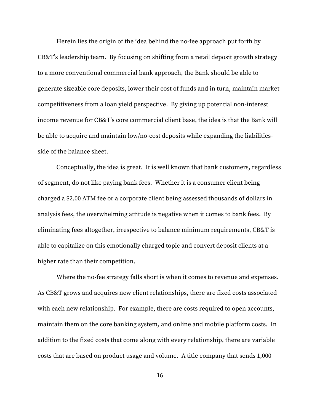Herein lies the origin of the idea behind the no-fee approach put forth by CB&T's leadership team. By focusing on shifting from a retail deposit growth strategy to a more conventional commercial bank approach, the Bank should be able to generate sizeable core deposits, lower their cost of funds and in turn, maintain market competitiveness from a loan yield perspective. By giving up potential non-interest income revenue for CB&T's core commercial client base, the idea is that the Bank will be able to acquire and maintain low/no-cost deposits while expanding the liabilitiesside of the balance sheet.

Conceptually, the idea is great. It is well known that bank customers, regardless of segment, do not like paying bank fees. Whether it is a consumer client being charged a \$2.00 ATM fee or a corporate client being assessed thousands of dollars in analysis fees, the overwhelming attitude is negative when it comes to bank fees. By eliminating fees altogether, irrespective to balance minimum requirements, CB&T is able to capitalize on this emotionally charged topic and convert deposit clients at a higher rate than their competition.

Where the no-fee strategy falls short is when it comes to revenue and expenses. As CB&T grows and acquires new client relationships, there are fixed costs associated with each new relationship. For example, there are costs required to open accounts, maintain them on the core banking system, and online and mobile platform costs. In addition to the fixed costs that come along with every relationship, there are variable costs that are based on product usage and volume. A title company that sends 1,000

16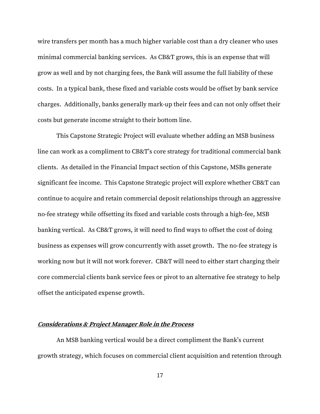wire transfers per month has a much higher variable cost than a dry cleaner who uses minimal commercial banking services. As CB&T grows, this is an expense that will grow as well and by not charging fees, the Bank will assume the full liability of these costs. In a typical bank, these fixed and variable costs would be offset by bank service charges. Additionally, banks generally mark-up their fees and can not only offset their costs but generate income straight to their bottom line.

This Capstone Strategic Project will evaluate whether adding an MSB business line can work as a compliment to CB&T's core strategy for traditional commercial bank clients. As detailed in the Financial Impact section of this Capstone, MSBs generate significant fee income. This Capstone Strategic project will explore whether CB&T can continue to acquire and retain commercial deposit relationships through an aggressive no-fee strategy while offsetting its fixed and variable costs through a high-fee, MSB banking vertical. As CB&T grows, it will need to find ways to offset the cost of doing business as expenses will grow concurrently with asset growth. The no-fee strategy is working now but it will not work forever. CB&T will need to either start charging their core commercial clients bank service fees or pivot to an alternative fee strategy to help offset the anticipated expense growth.

#### <span id="page-22-0"></span>**Considerations & Project Manager Role in the Process**

An MSB banking vertical would be a direct compliment the Bank's current growth strategy, which focuses on commercial client acquisition and retention through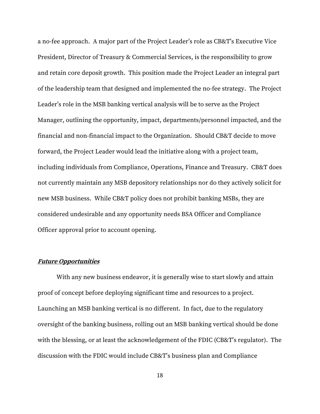a no-fee approach. A major part of the Project Leader's role as CB&T's Executive Vice President, Director of Treasury & Commercial Services, is the responsibility to grow and retain core deposit growth. This position made the Project Leader an integral part of the leadership team that designed and implemented the no-fee strategy. The Project Leader's role in the MSB banking vertical analysis will be to serve as the Project Manager, outlining the opportunity, impact, departments/personnel impacted, and the financial and non-financial impact to the Organization. Should CB&T decide to move forward, the Project Leader would lead the initiative along with a project team, including individuals from Compliance, Operations, Finance and Treasury. CB&T does not currently maintain any MSB depository relationships nor do they actively solicit for new MSB business. While CB&T policy does not prohibit banking MSBs, they are considered undesirable and any opportunity needs BSA Officer and Compliance Officer approval prior to account opening.

#### <span id="page-23-0"></span>**Future Opportunities**

With any new business endeavor, it is generally wise to start slowly and attain proof of concept before deploying significant time and resources to a project. Launching an MSB banking vertical is no different. In fact, due to the regulatory oversight of the banking business, rolling out an MSB banking vertical should be done with the blessing, or at least the acknowledgement of the FDIC (CB&T's regulator). The discussion with the FDIC would include CB&T's business plan and Compliance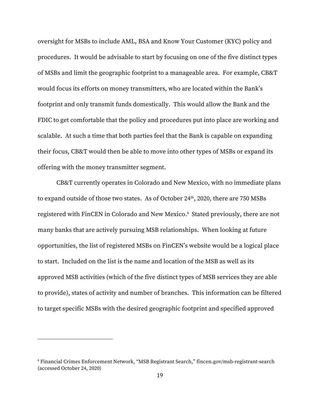oversight for MSBs to include AML, BSA and Know Your Customer (KYC) policy and procedures. It would be advisable to start by focusing on one of the five distinct types of MSBs and limit the geographic footprint to a manageable area. For example, CB&T would focus its efforts on money transmitters, who are located within the Bank's footprint and only transmit funds domestically. This would allow the Bank and the FDIC to get comfortable that the policy and procedures put into place are working and scalable. At such a time that both parties feel that the Bank is capable on expanding their focus, CB&T would then be able to move into other types of MSBs or expand its offering with the money transmitter segment.

CB&T currently operates in Colorado and New Mexico, with no immediate plans to expand outside of those two states. As of October 24<sup>th</sup>, 2020, there are 750 MSBs registered with FinCEN in Colorado and New Mexico. 8 Stated previously, there are not many banks that are actively pursuing MSB relationships. When looking at future opportunities, the list of registered MSBs on FinCEN's website would be a logical place to start. Included on the list is the name and location of the MSB as well as its approved MSB activities (which of the five distinct types of MSB services they are able to provide), states of activity and number of branches. This information can be filtered to target specific MSBs with the desired geographic footprint and specified approved

<sup>8</sup> Financial Crimes Enforcement Network, "MSB Registrant Search," fincen.gov/msb-registrant-search (accessed October 24, 2020)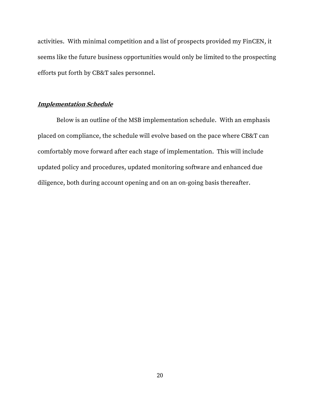activities. With minimal competition and a list of prospects provided my FinCEN, it seems like the future business opportunities would only be limited to the prospecting efforts put forth by CB&T sales personnel.

#### <span id="page-25-0"></span>**Implementation Schedule**

Below is an outline of the MSB implementation schedule. With an emphasis placed on compliance, the schedule will evolve based on the pace where CB&T can comfortably move forward after each stage of implementation. This will include updated policy and procedures, updated monitoring software and enhanced due diligence, both during account opening and on an on-going basis thereafter.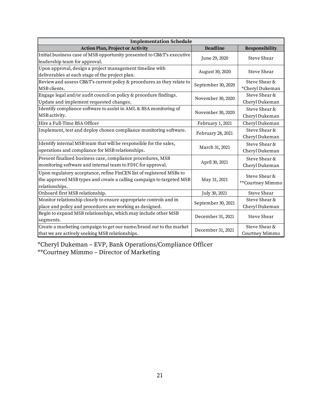| <b>Implementation Schedule</b>                                         |                    |                    |
|------------------------------------------------------------------------|--------------------|--------------------|
| <b>Action Plan, Project or Activity</b>                                | <b>Deadline</b>    | Responsibility     |
| Initial business case of MSB opportunity presented to CB&T's executive | June 29, 2020      | Steve Shear        |
| leadership team for approval.                                          |                    |                    |
| Upon approval, design a project management timeline with               | August 30, 2020    | Steve Shear        |
| deliverables at each stage of the project plan.                        |                    |                    |
| Review and assess CB&T's current policy & procedures as they relate to | September 30, 2020 | Steve Shear &      |
| MSB clients.                                                           |                    | *Cheryl Dukeman    |
| Engage legal and/or audit council on policy & procedure findings.      | November 30, 2020  | Steve Shear &      |
| Update and implement requested changes.                                |                    | Cheryl Dukeman     |
| Identify compliance software to assist in AML & BSA monitoring of      | November 30, 2020  | Steve Shear &      |
| MSB activity.                                                          |                    | Cheryl Dukeman     |
| Hire a Full-Time BSA Officer                                           | February 1, 2021   | Cheryl Dukeman     |
| Implement, test and deploy chosen compliance monitoring software.      | February 28, 2021  | Steve Shear &      |
|                                                                        |                    | Cheryl Dukeman     |
| Identify internal MSB team that will be responsible for the sales,     |                    | Steve Shear &      |
| operations and compliance for MSB relationships.                       | March 31, 2021     | Cheryl Dukeman     |
| Present finalized business case, compliance procedures, MSB            |                    | Steve Shear &      |
| monitoring software and internal team to FDIC for approval.            | April 30, 2021     | Cheryl Dukeman     |
| Upon regulatory acceptance, refine FinCEN list of registered MSBs to   |                    | Steve Shear &      |
| the approved MSB types and create a calling campaign to targeted MSB   | May 31, 2021       | **Courtney Mimmo   |
| relationships.                                                         |                    |                    |
| Onboard first MSB relationship.                                        | July 30, 2021      | <b>Steve Shear</b> |
| Monitor relationship closely to ensure appropriate controls and in     | September 30, 2021 | Steve Shear &      |
| place and policy and procedures are working as designed.               |                    | Cheryl Dukeman     |
| Begin to expand MSB relationships, which may include other MSB         | December 31, 2021  | <b>Steve Shear</b> |
| segments.                                                              |                    |                    |
| Create a marketing campaign to get our name/brand out to the market    | December 31, 2021  | Steve Shear &      |
| that we are actively seeking MSB relationships.                        |                    | Courtney Mimmo     |

\*Cheryl Dukeman – EVP, Bank Operations/Compliance Officer \*\*Courtney Mimmo – Director of Marketing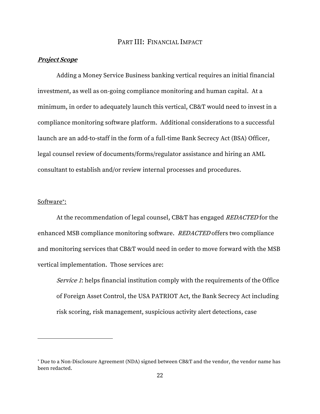# PART III: FINANCIAL IMPACT

#### <span id="page-27-1"></span><span id="page-27-0"></span>**Project Scope**

Adding a Money Service Business banking vertical requires an initial financial investment, as well as on-going compliance monitoring and human capital. At a minimum, in order to adequately launch this vertical, CB&T would need to invest in a compliance monitoring software platform. Additional considerations to a successful launch are an add-to-staff in the form of a full-time Bank Secrecy Act (BSA) Officer, legal counsel review of documents/forms/regulator assistance and hiring an AML consultant to establish and/or review internal processes and procedures.

## Software :

At the recommendation of legal counsel, CB&T has engaged REDACTED for the enhanced MSB compliance monitoring software. REDACTED offers two compliance and monitoring services that CB&T would need in order to move forward with the MSB vertical implementation. Those services are:

Service 1: helps financial institution comply with the requirements of the Office of Foreign Asset Control, the USA PATRIOT Act, the Bank Secrecy Act including risk scoring, risk management, suspicious activity alert detections, case

Due to a Non-Disclosure Agreement (NDA) signed between CB&T and the vendor, the vendor name has been redacted.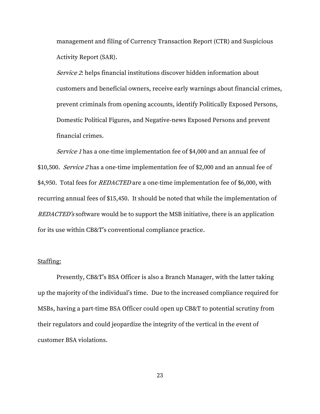management and filing of Currency Transaction Report (CTR) and Suspicious Activity Report (SAR).

Service 2: helps financial institutions discover hidden information about customers and beneficial owners, receive early warnings about financial crimes, prevent criminals from opening accounts, identify Politically Exposed Persons, Domestic Political Figures, and Negative-news Exposed Persons and prevent financial crimes.

Service 1 has a one-time implementation fee of \$4,000 and an annual fee of \$10,500. Service 2 has a one-time implementation fee of \$2,000 and an annual fee of \$4,950. Total fees for *REDACTED* are a one-time implementation fee of \$6,000, with recurring annual fees of \$15,450. It should be noted that while the implementation of REDACTED's software would be to support the MSB initiative, there is an application for its use within CB&T's conventional compliance practice.

#### Staffing:

Presently, CB&T's BSA Officer is also a Branch Manager, with the latter taking up the majority of the individual's time. Due to the increased compliance required for MSBs, having a part-time BSA Officer could open up CB&T to potential scrutiny from their regulators and could jeopardize the integrity of the vertical in the event of customer BSA violations.

23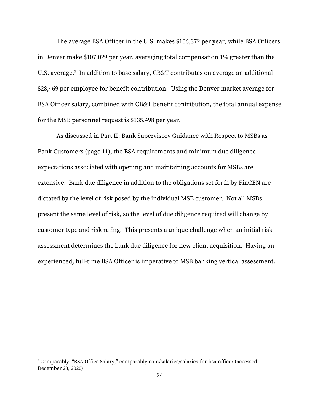The average BSA Officer in the U.S. makes \$106,372 per year, while BSA Officers in Denver make \$107,029 per year, averaging total compensation 1% greater than the U.S. average. 9 In addition to base salary, CB&T contributes on average an additional \$28,469 per employee for benefit contribution. Using the Denver market average for BSA Officer salary, combined with CB&T benefit contribution, the total annual expense for the MSB personnel request is \$135,498 per year.

As discussed in Part II: Bank Supervisory Guidance with Respect to MSBs as Bank Customers (page 11), the BSA requirements and minimum due diligence expectations associated with opening and maintaining accounts for MSBs are extensive. Bank due diligence in addition to the obligations set forth by FinCEN are dictated by the level of risk posed by the individual MSB customer. Not all MSBs present the same level of risk, so the level of due diligence required will change by customer type and risk rating. This presents a unique challenge when an initial risk assessment determines the bank due diligence for new client acquisition. Having an experienced, full-time BSA Officer is imperative to MSB banking vertical assessment.

<sup>9</sup> Comparably, "BSA Office Salary," comparably.com/salaries/salaries-for-bsa-officer (accessed December 28, 2020)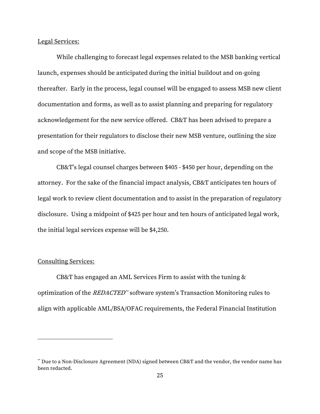Legal Services:

While challenging to forecast legal expenses related to the MSB banking vertical launch, expenses should be anticipated during the initial buildout and on-going thereafter. Early in the process, legal counsel will be engaged to assess MSB new client documentation and forms, as well as to assist planning and preparing for regulatory acknowledgement for the new service offered. CB&T has been advised to prepare a presentation for their regulators to disclose their new MSB venture, outlining the size and scope of the MSB initiative.

CB&T's legal counsel charges between \$405 - \$450 per hour, depending on the attorney. For the sake of the financial impact analysis, CB&T anticipates ten hours of legal work to review client documentation and to assist in the preparation of regulatory disclosure. Using a midpoint of \$425 per hour and ten hours of anticipated legal work, the initial legal services expense will be \$4,250.

#### Consulting Services:

CB&T has engaged an AML Services Firm to assist with the tuning & optimization of the *REDACTED*<sup>\*\*</sup> software system's Transaction Monitoring rules to align with applicable AML/BSA/OFAC requirements, the Federal Financial Institution

<sup>\*\*</sup> Due to a Non-Disclosure Agreement (NDA) signed between CB&T and the vendor, the vendor name has been redacted.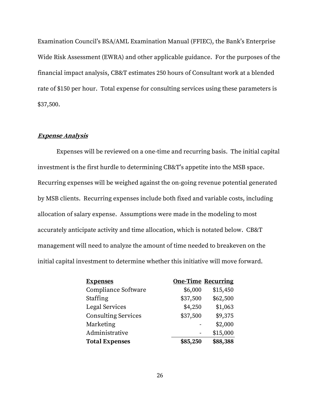Examination Council's BSA/AML Examination Manual (FFIEC), the Bank's Enterprise Wide Risk Assessment (EWRA) and other applicable guidance. For the purposes of the financial impact analysis, CB&T estimates 250 hours of Consultant work at a blended rate of \$150 per hour. Total expense for consulting services using these parameters is \$37,500.

#### <span id="page-31-0"></span>**Expense Analysis**

Expenses will be reviewed on a one-time and recurring basis. The initial capital investment is the first hurdle to determining CB&T's appetite into the MSB space. Recurring expenses will be weighed against the on-going revenue potential generated by MSB clients. Recurring expenses include both fixed and variable costs, including allocation of salary expense. Assumptions were made in the modeling to most accurately anticipate activity and time allocation, which is notated below. CB&T management will need to analyze the amount of time needed to breakeven on the initial capital investment to determine whether this initiative will move forward.

| <b>Expenses</b>            |          | <b>One-Time Recurring</b> |
|----------------------------|----------|---------------------------|
| Compliance Software        | \$6,000  | \$15,450                  |
| Staffing                   | \$37,500 | \$62,500                  |
| Legal Services             | \$4,250  | \$1,063                   |
| <b>Consulting Services</b> | \$37,500 | \$9,375                   |
| Marketing                  |          | \$2,000                   |
| Administrative             |          | \$15,000                  |
| <b>Total Expenses</b>      | \$85,250 | \$88,388                  |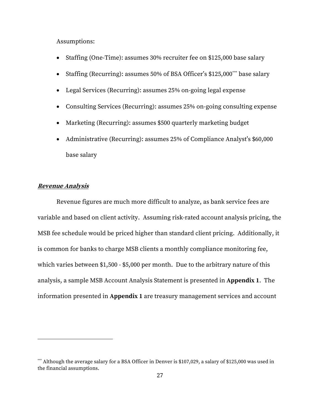Assumptions:

- Staffing (One-Time): assumes 30% recruiter fee on \$125,000 base salary
- Staffing (Recurring): assumes 50% of BSA Officer's \$125,000<sup>\*\*\*</sup> base salary
- Legal Services (Recurring): assumes 25% on-going legal expense
- Consulting Services (Recurring): assumes 25% on-going consulting expense
- Marketing (Recurring): assumes \$500 quarterly marketing budget
- Administrative (Recurring): assumes 25% of Compliance Analyst's \$60,000 base salary

#### <span id="page-32-0"></span>**Revenue Analysis**

Revenue figures are much more difficult to analyze, as bank service fees are variable and based on client activity. Assuming risk-rated account analysis pricing, the MSB fee schedule would be priced higher than standard client pricing. Additionally, it is common for banks to charge MSB clients a monthly compliance monitoring fee, which varies between \$1,500 - \$5,000 per month. Due to the arbitrary nature of this analysis, a sample MSB Account Analysis Statement is presented in **Appendix 1**. The information presented in **Appendix 1** are treasury management services and account

<sup>\*\*\*</sup> Although the average salary for a BSA Officer in Denver is \$107,029, a salary of \$125,000 was used in the financial assumptions.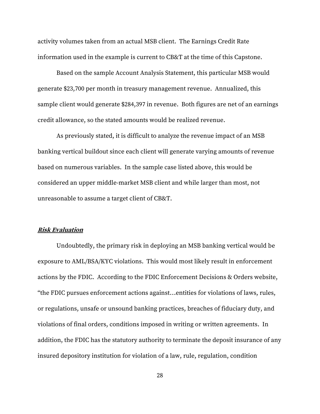activity volumes taken from an actual MSB client. The Earnings Credit Rate information used in the example is current to CB&T at the time of this Capstone.

Based on the sample Account Analysis Statement, this particular MSB would generate \$23,700 per month in treasury management revenue. Annualized, this sample client would generate \$284,397 in revenue. Both figures are net of an earnings credit allowance, so the stated amounts would be realized revenue.

As previously stated, it is difficult to analyze the revenue impact of an MSB banking vertical buildout since each client will generate varying amounts of revenue based on numerous variables. In the sample case listed above, this would be considered an upper middle-market MSB client and while larger than most, not unreasonable to assume a target client of CB&T.

#### <span id="page-33-0"></span>**Risk Evaluation**

Undoubtedly, the primary risk in deploying an MSB banking vertical would be exposure to AML/BSA/KYC violations. This would most likely result in enforcement actions by the FDIC. According to the FDIC Enforcement Decisions & Orders website, "the FDIC pursues enforcement actions against…entities for violations of laws, rules, or regulations, unsafe or unsound banking practices, breaches of fiduciary duty, and violations of final orders, conditions imposed in writing or written agreements. In addition, the FDIC has the statutory authority to terminate the deposit insurance of any insured depository institution for violation of a law, rule, regulation, condition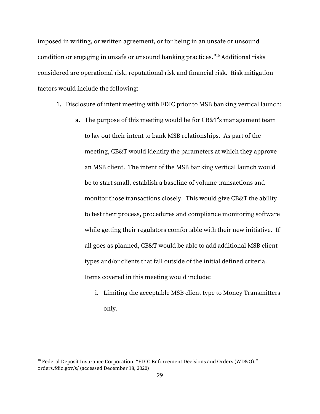imposed in writing, or written agreement, or for being in an unsafe or unsound condition or engaging in unsafe or unsound banking practices." <sup>10</sup> Additional risks considered are operational risk, reputational risk and financial risk. Risk mitigation factors would include the following:

- 1. Disclosure of intent meeting with FDIC prior to MSB banking vertical launch:
	- a. The purpose of this meeting would be for CB&T's management team to lay out their intent to bank MSB relationships. As part of the meeting, CB&T would identify the parameters at which they approve an MSB client. The intent of the MSB banking vertical launch would be to start small, establish a baseline of volume transactions and monitor those transactions closely. This would give CB&T the ability to test their process, procedures and compliance monitoring software while getting their regulators comfortable with their new initiative. If all goes as planned, CB&T would be able to add additional MSB client types and/or clients that fall outside of the initial defined criteria. Items covered in this meeting would include:
		- i. Limiting the acceptable MSB client type to Money Transmitters only.

<sup>&</sup>lt;sup>10</sup> Federal Deposit Insurance Corporation, "FDIC Enforcement Decisions and Orders (WD&O)," orders.fdic.gov/s/ (accessed December 18, 2020)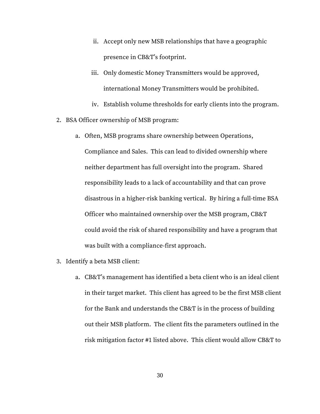- ii. Accept only new MSB relationships that have a geographic presence in CB&T's footprint.
- iii. Only domestic Money Transmitters would be approved, international Money Transmitters would be prohibited.
- iv. Establish volume thresholds for early clients into the program.
- 2. BSA Officer ownership of MSB program:
	- a. Often, MSB programs share ownership between Operations, Compliance and Sales. This can lead to divided ownership where neither department has full oversight into the program. Shared responsibility leads to a lack of accountability and that can prove disastrous in a higher-risk banking vertical. By hiring a full-time BSA Officer who maintained ownership over the MSB program, CB&T could avoid the risk of shared responsibility and have a program that was built with a compliance-first approach.
- 3. Identify a beta MSB client:
	- a. CB&T's management has identified a beta client who is an ideal client in their target market. This client has agreed to be the first MSB client for the Bank and understands the CB&T is in the process of building out their MSB platform. The client fits the parameters outlined in the risk mitigation factor #1 listed above. This client would allow CB&T to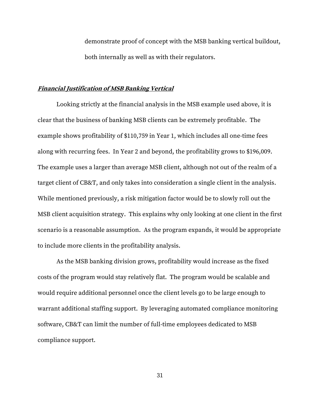demonstrate proof of concept with the MSB banking vertical buildout, both internally as well as with their regulators.

# <span id="page-36-0"></span>**Financial Justification of MSB Banking Vertical**

Looking strictly at the financial analysis in the MSB example used above, it is clear that the business of banking MSB clients can be extremely profitable. The example shows profitability of \$110,759 in Year 1, which includes all one-time fees along with recurring fees. In Year 2 and beyond, the profitability grows to \$196,009. The example uses a larger than average MSB client, although not out of the realm of a target client of CB&T, and only takes into consideration a single client in the analysis. While mentioned previously, a risk mitigation factor would be to slowly roll out the MSB client acquisition strategy. This explains why only looking at one client in the first scenario is a reasonable assumption. As the program expands, it would be appropriate to include more clients in the profitability analysis.

As the MSB banking division grows, profitability would increase as the fixed costs of the program would stay relatively flat. The program would be scalable and would require additional personnel once the client levels go to be large enough to warrant additional staffing support. By leveraging automated compliance monitoring software, CB&T can limit the number of full-time employees dedicated to MSB compliance support.

31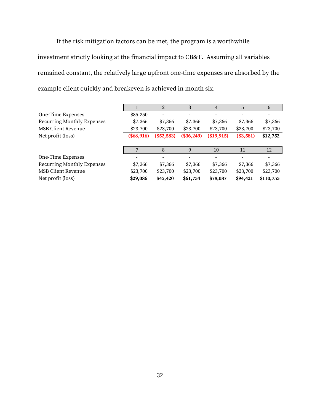If the risk mitigation factors can be met, the program is a worthwhile investment strictly looking at the financial impact to CB&T. Assuming all variables remained constant, the relatively large upfront one-time expenses are absorbed by the example client quickly and breakeven is achieved in month six.

|                            |              | $\overline{2}$ | 3                        | 4          | $\overline{5}$ | 6         |
|----------------------------|--------------|----------------|--------------------------|------------|----------------|-----------|
| One-Time Expenses          | \$85,250     |                | $\overline{\phantom{a}}$ |            |                |           |
| Recurring Monthly Expenses | \$7,366      | \$7,366        | \$7,366                  | \$7,366    | \$7,366        | \$7,366   |
| <b>MSB Client Revenue</b>  | \$23,700     | \$23,700       | \$23,700                 | \$23,700   | \$23,700       | \$23,700  |
| Net profit (loss)          | $(\$68,916)$ | $(\$52,583)$   | $(\$36,249)$             | (\$19,915) | $(*3,581)$     | \$12,752  |
|                            |              |                |                          |            |                |           |
|                            |              | 8              | 9                        | 10         | 11             | 12        |
| One-Time Expenses          |              |                |                          |            |                |           |
| Recurring Monthly Expenses | \$7,366      | \$7,366        | \$7,366                  | \$7,366    | \$7,366        | \$7,366   |
| <b>MSB Client Revenue</b>  | \$23,700     | \$23,700       | \$23,700                 | \$23,700   | \$23,700       | \$23,700  |
| Net profit (loss)          | \$29,086     | \$45,420       | \$61,754                 | \$78,087   | \$94,421       | \$110,755 |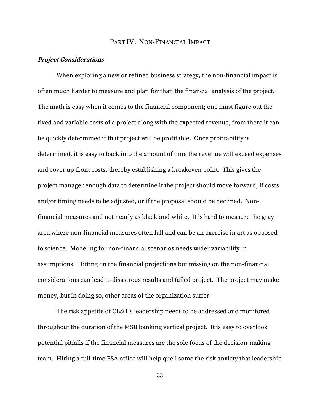# PART IV: NON-FINANCIAL IMPACT

# <span id="page-38-1"></span><span id="page-38-0"></span>**Project Considerations**

When exploring a new or refined business strategy, the non-financial impact is often much harder to measure and plan for than the financial analysis of the project. The math is easy when it comes to the financial component; one must figure out the fixed and variable costs of a project along with the expected revenue, from there it can be quickly determined if that project will be profitable. Once profitability is determined, it is easy to back into the amount of time the revenue will exceed expenses and cover up-front costs, thereby establishing a breakeven point. This gives the project manager enough data to determine if the project should move forward, if costs and/or timing needs to be adjusted, or if the proposal should be declined. Nonfinancial measures and not nearly as black-and-white. It is hard to measure the gray area where non-financial measures often fall and can be an exercise in art as opposed to science. Modeling for non-financial scenarios needs wider variability in assumptions. Hitting on the financial projections but missing on the non-financial considerations can lead to disastrous results and failed project. The project may make money, but in doing so, other areas of the organization suffer.

The risk appetite of CB&T's leadership needs to be addressed and monitored throughout the duration of the MSB banking vertical project. It is easy to overlook potential pitfalls if the financial measures are the sole focus of the decision-making team. Hiring a full-time BSA office will help quell some the risk anxiety that leadership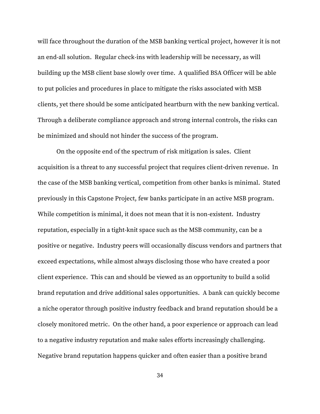will face throughout the duration of the MSB banking vertical project, however it is not an end-all solution. Regular check-ins with leadership will be necessary, as will building up the MSB client base slowly over time. A qualified BSA Officer will be able to put policies and procedures in place to mitigate the risks associated with MSB clients, yet there should be some anticipated heartburn with the new banking vertical. Through a deliberate compliance approach and strong internal controls, the risks can be minimized and should not hinder the success of the program.

On the opposite end of the spectrum of risk mitigation is sales. Client acquisition is a threat to any successful project that requires client-driven revenue. In the case of the MSB banking vertical, competition from other banks is minimal. Stated previously in this Capstone Project, few banks participate in an active MSB program. While competition is minimal, it does not mean that it is non-existent. Industry reputation, especially in a tight-knit space such as the MSB community, can be a positive or negative. Industry peers will occasionally discuss vendors and partners that exceed expectations, while almost always disclosing those who have created a poor client experience. This can and should be viewed as an opportunity to build a solid brand reputation and drive additional sales opportunities. A bank can quickly become a niche operator through positive industry feedback and brand reputation should be a closely monitored metric. On the other hand, a poor experience or approach can lead to a negative industry reputation and make sales efforts increasingly challenging. Negative brand reputation happens quicker and often easier than a positive brand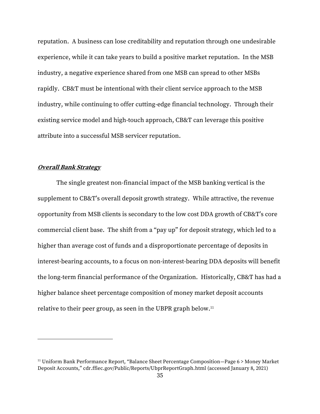reputation. A business can lose creditability and reputation through one undesirable experience, while it can take years to build a positive market reputation. In the MSB industry, a negative experience shared from one MSB can spread to other MSBs rapidly. CB&T must be intentional with their client service approach to the MSB industry, while continuing to offer cutting-edge financial technology. Through their existing service model and high-touch approach, CB&T can leverage this positive attribute into a successful MSB servicer reputation.

#### <span id="page-40-0"></span>**Overall Bank Strategy**

The single greatest non-financial impact of the MSB banking vertical is the supplement to CB&T's overall deposit growth strategy. While attractive, the revenue opportunity from MSB clients is secondary to the low cost DDA growth of CB&T's core commercial client base. The shift from a "pay up" for deposit strategy, which led to a higher than average cost of funds and a disproportionate percentage of deposits in interest-bearing accounts, to a focus on non-interest-bearing DDA deposits will benefit the long-term financial performance of the Organization. Historically, CB&T has had a higher balance sheet percentage composition of money market deposit accounts relative to their peer group, as seen in the UBPR graph below.<sup>11</sup>

<sup>&</sup>lt;sup>11</sup> Uniform Bank Performance Report, "Balance Sheet Percentage Composition-Page 6 > Money Market Deposit Accounts," cdr.ffiec.gov/Public/Reports/UbprReportGraph.html (accessed January 8, 2021)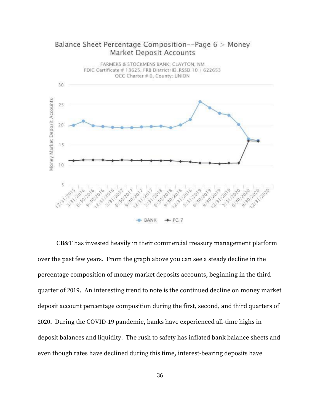

Balance Sheet Percentage Composition--Page 6 > Money **Market Deposit Accounts** 

CB&T has invested heavily in their commercial treasury management platform over the past few years. From the graph above you can see a steady decline in the percentage composition of money market deposits accounts, beginning in the third quarter of 2019. An interesting trend to note is the continued decline on money market deposit account percentage composition during the first, second, and third quarters of 2020. During the COVID-19 pandemic, banks have experienced all-time highs in deposit balances and liquidity. The rush to safety has inflated bank balance sheets and even though rates have declined during this time, interest-bearing deposits have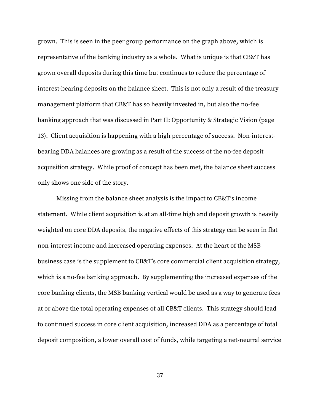grown. This is seen in the peer group performance on the graph above, which is representative of the banking industry as a whole. What is unique is that CB&T has grown overall deposits during this time but continues to reduce the percentage of interest-bearing deposits on the balance sheet. This is not only a result of the treasury management platform that CB&T has so heavily invested in, but also the no-fee banking approach that was discussed in Part II: Opportunity & Strategic Vision (page 13). Client acquisition is happening with a high percentage of success. Non-interestbearing DDA balances are growing as a result of the success of the no-fee deposit acquisition strategy. While proof of concept has been met, the balance sheet success only shows one side of the story.

Missing from the balance sheet analysis is the impact to CB&T's income statement. While client acquisition is at an all-time high and deposit growth is heavily weighted on core DDA deposits, the negative effects of this strategy can be seen in flat non-interest income and increased operating expenses. At the heart of the MSB business case is the supplement to CB&T's core commercial client acquisition strategy, which is a no-fee banking approach. By supplementing the increased expenses of the core banking clients, the MSB banking vertical would be used as a way to generate fees at or above the total operating expenses of all CB&T clients. This strategy should lead to continued success in core client acquisition, increased DDA as a percentage of total deposit composition, a lower overall cost of funds, while targeting a net-neutral service

37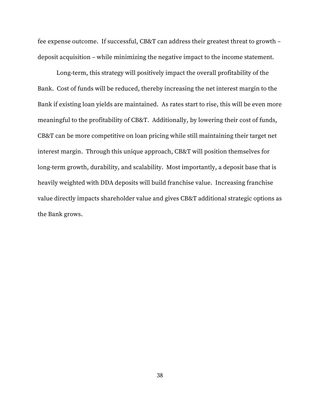fee expense outcome. If successful, CB&T can address their greatest threat to growth – deposit acquisition – while minimizing the negative impact to the income statement.

Long-term, this strategy will positively impact the overall profitability of the Bank. Cost of funds will be reduced, thereby increasing the net interest margin to the Bank if existing loan yields are maintained. As rates start to rise, this will be even more meaningful to the profitability of CB&T. Additionally, by lowering their cost of funds, CB&T can be more competitive on loan pricing while still maintaining their target net interest margin. Through this unique approach, CB&T will position themselves for long-term growth, durability, and scalability. Most importantly, a deposit base that is heavily weighted with DDA deposits will build franchise value. Increasing franchise value directly impacts shareholder value and gives CB&T additional strategic options as the Bank grows.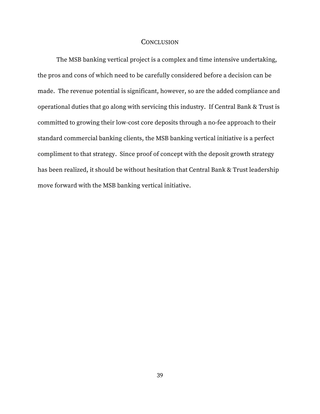#### **CONCLUSION**

<span id="page-44-0"></span>The MSB banking vertical project is a complex and time intensive undertaking, the pros and cons of which need to be carefully considered before a decision can be made. The revenue potential is significant, however, so are the added compliance and operational duties that go along with servicing this industry. If Central Bank & Trust is committed to growing their low-cost core deposits through a no-fee approach to their standard commercial banking clients, the MSB banking vertical initiative is a perfect compliment to that strategy. Since proof of concept with the deposit growth strategy has been realized, it should be without hesitation that Central Bank & Trust leadership move forward with the MSB banking vertical initiative.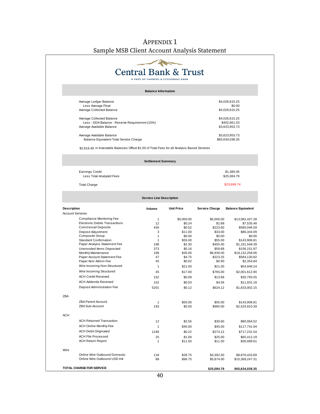# APPENDIX 1 Sample MSB Client Account Analysis Statement

<span id="page-45-0"></span>

|                                                                                               | A PART OF FARMERS & STOCKMENS BANK | <b>Central Bank &amp; Trust</b> |                       |                                   |
|-----------------------------------------------------------------------------------------------|------------------------------------|---------------------------------|-----------------------|-----------------------------------|
|                                                                                               | <b>Balance Information</b>         |                                 |                       |                                   |
| Average Ledger Balance                                                                        |                                    |                                 |                       | \$4,026,615.25                    |
| Less Average Float<br>Average Collected Balance                                               |                                    |                                 |                       | \$0.00<br>\$4,026,615.25          |
| Average Collected Balance                                                                     |                                    |                                 |                       | \$4,026,615.25                    |
| Less - DDA Balance - Reserve Requirement (10%)                                                |                                    |                                 |                       | \$402,661.53                      |
| Average Available Balance                                                                     |                                    |                                 |                       | \$3,623,953.73                    |
| Average Available Balance<br>Balance Equivalent Total Service Charge                          |                                    |                                 |                       | \$3,623,953.73<br>\$65,634,038.35 |
| \$2,616.49 in Investable Balances Offset \$1.00 of Total Fees for all Analysis Based Services |                                    |                                 |                       |                                   |
|                                                                                               |                                    |                                 |                       |                                   |
|                                                                                               | <b>Settlement Summary</b>          |                                 |                       |                                   |
| <b>Earnings Credit</b>                                                                        |                                    |                                 |                       | \$1,385.05                        |
| Less Total Analyzed Fees                                                                      |                                    |                                 | \$25,084.79           |                                   |
| <b>Total Charge</b>                                                                           |                                    |                                 |                       | \$23,699.74                       |
|                                                                                               | <b>Service Line Description</b>    |                                 |                       |                                   |
| <b>Description</b>                                                                            | Volume                             | <b>Unit Price</b>               | <b>Service Charge</b> | <b>Balance Equivalent</b>         |
| <b>Account Services</b>                                                                       |                                    |                                 |                       |                                   |
| Compliance Monitoring Fee<br><b>Electronic Debits Transactions</b>                            | $\mathbf{1}$<br>12                 | \$5,000.00<br>\$0.24            | \$5,000.00<br>\$2.88  | \$13,082,437.28<br>\$7,535.48     |
| <b>Commercail Deposits</b>                                                                    | 430                                | \$0.52                          | \$223.60              | \$585,046.59                      |
| Deposit Adjustment                                                                            | 3                                  | \$11.00                         | \$33.00               | \$86,344.09                       |
| Composite Group                                                                               | $\mathbf{1}$                       | \$0.00                          | \$0.00                | \$0.00                            |
| <b>Standard Confirmation</b>                                                                  | $\mathbf{1}$                       | \$55.00                         | \$55.00               | \$143,906.81                      |
| Paper Analysis Statement Fee                                                                  | 198                                | \$2.30                          | \$455.40              | \$1,191,548.39                    |
| Unencoded Items Deposited                                                                     | 373                                | \$0.16                          | \$59.68               | \$156,151.97                      |
| Monthly Maintenance                                                                           | 198                                | \$35.00                         | \$6,930.00            | \$18,132,258.06                   |
| Paper Account Statement Fee                                                                   | 47                                 | \$4.75                          | \$223.25              | \$584,130.82                      |
| Paper Item Admin Fee                                                                          | 45                                 | \$0.02                          | \$0.90                | \$2,354.84                        |
| Wire Incoming Non-Structured                                                                  | $\mathbf{1}$                       | \$21.00                         | \$21.00               | \$54,946.24                       |
| Wire Incoming Structured                                                                      | 45                                 | \$17.00                         | \$765.00              | \$2,001,612.90                    |
| <b>ACH Credit Received</b>                                                                    | 152                                | \$0.09                          | \$13.68               | \$35,793.55                       |
| ACH Addenda Received                                                                          | 152                                | \$0.03                          | \$4.56                | \$11,931.18                       |
| Deposit Administration Fee                                                                    | 5201                               | \$0.12                          | \$624.12              | \$1,633,002.15                    |
| ZBA                                                                                           |                                    |                                 |                       |                                   |
| <b>ZBA Parent Account</b>                                                                     | $\mathbf{1}$                       | \$55.00                         | \$55.00               | \$143,906.81                      |
| ZBA Sub-Account                                                                               | 193                                | \$5.00                          | \$965.00              | \$2,524,910.39                    |
| <b>ACH</b>                                                                                    |                                    |                                 |                       |                                   |
| <b>ACH Returned Transaction</b>                                                               | 12                                 | \$2.55                          | \$30.60               | \$80,064.52                       |
| ACH Online Monthly Fee                                                                        | $\mathbf{1}$                       | \$45.00                         | \$45.00               | \$117,741.94                      |
| <b>ACH Debit Originated</b>                                                                   |                                    |                                 |                       |                                   |
|                                                                                               | 1246                               | \$0.22                          | \$274.12              | \$717,231.54                      |
| ACH File Processed<br><b>ACH Return Report</b>                                                | 25<br>$\mathbf{1}$                 | \$1.00<br>\$11.50               | \$25.00<br>\$11.50    | \$65,412.19<br>\$30,089.61        |
| Wire                                                                                          |                                    |                                 |                       |                                   |
|                                                                                               |                                    |                                 | \$3,392.50            |                                   |
|                                                                                               |                                    |                                 |                       |                                   |
| Online Wire Outbound Domestic<br>Online Wire Outbound USD Intl                                | 118<br>88                          | \$28.75<br>\$66.75              | \$5,874.00            | \$8,876,433.69<br>\$15,369,247.31 |